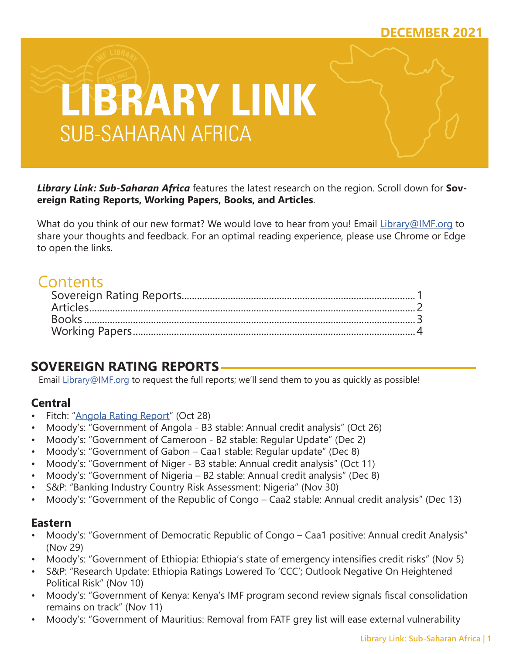## **DECEMBER 2021**



*Library Link: Sub-Saharan Africa* features the latest research on the region. Scroll down for **Sovereign Rating Reports, Working Papers, Books, and Articles**.

What do you think of our new format? We would love to hear from you! Email [Library@IMF.org](mailto:Library%40IMF.org?subject=) to share your thoughts and feedback. For an optimal reading experience, please use Chrome or Edge to open the links.

# **Contents**

## **SOVEREIGN RATING REPORTS**

Email [Library@IMF.org](mailto:Library%40IMF.org?subject=) to request the full reports; we'll send them to you as quickly as possible!

## **Central**

- Fitch: ["Angola Rating Report](http://t.imfconnect.imf.org/r/?id=h6280f9,2fda963,303c502)" (Oct 28)
- Moody's: "Government of Angola B3 stable: Annual credit analysis" (Oct 26)
- Moody's: "Government of Cameroon B2 stable: Regular Update" (Dec 2)
- Moody's: "Government of Gabon Caa1 stable: Regular update" (Dec 8)
- Moody's: "Government of Niger B3 stable: Annual credit analysis" (Oct 11)
- Moody's: "Government of Nigeria B2 stable: Annual credit analysis" (Dec 8)
- S&P: "Banking Industry Country Risk Assessment: Nigeria" (Nov 30)
- Moody's: "Government of the Republic of Congo Caa2 stable: Annual credit analysis" (Dec 13)

### **Eastern**

- Moody's: "Government of Democratic Republic of Congo Caa1 positive: Annual credit Analysis" (Nov 29)
- Moody's: "Government of Ethiopia: Ethiopia's state of emergency intensifies credit risks" (Nov 5)
- S&P: "Research Update: Ethiopia Ratings Lowered To 'CCC'; Outlook Negative On Heightened Political Risk" (Nov 10)
- Moody's: "Government of Kenya: Kenya's IMF program second review signals fiscal consolidation remains on track" (Nov 11)
- Moody's: "Government of Mauritius: Removal from FATF grey list will ease external vulnerability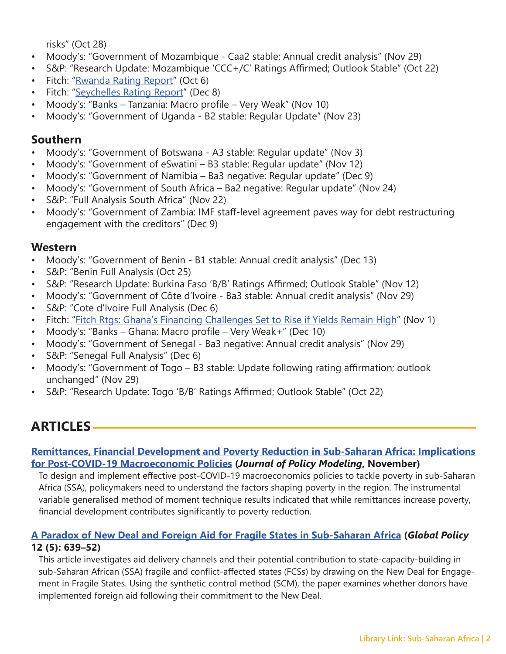risks" (Oct 28)

- <span id="page-1-0"></span>• Moody's: "Government of Mozambique - Caa2 stable: Annual credit analysis" (Nov 29)
- S&P: "Research Update: Mozambique 'CCC+/C' Ratings Affirmed; Outlook Stable" (Oct 22)
- Fitch: ["Rwanda Rating Report](http://t.imfconnect.imf.org/r/?id=h6280f9,2fda963,303c503)" (Oct 6)
- Fitch: ["Seychelles Rating Report"](http://t.imfconnect.imf.org/r/?id=h6280f9,2fda963,303c504) (Dec 8)
- Moody's: "Banks Tanzania: Macro profile Very Weak" (Nov 10)
- Moody's: "Government of Uganda B2 stable: Regular Update" (Nov 23)

## **Southern**

- Moody's: "Government of Botswana A3 stable: Regular update" (Nov 3)
- Moody's: "Government of eSwatini B3 stable: Regular update" (Nov 12)
- Moody's: "Government of Namibia Ba3 negative: Regular update" (Dec 9)
- Moody's: "Government of South Africa Ba2 negative: Regular update" (Nov 24)
- S&P: "Full Analysis South Africa" (Nov 22)
- Moody's: "Government of Zambia: IMF staff-level agreement paves way for debt restructuring engagement with the creditors" (Dec 9)

### **Western**

- Moody's: "Government of Benin B1 stable: Annual credit analysis" (Dec 13)
- S&P: "Benin Full Analysis (Oct 25)
- S&P: "Research Update: Burkina Faso 'B/B' Ratings Affirmed; Outlook Stable" (Nov 12)
- Moody's: "Government of Côte d'Ivoire Ba3 stable: Annual credit analysis" (Nov 29)
- S&P: "Cote d'Ivoire Full Analysis (Dec 6)
- Fitch: ["Fitch Rtgs: Ghana's Financing Challenges Set to Rise if Yields Remain High](http://t.imfconnect.imf.org/r/?id=h6280f9,2fda963,303c505)" (Nov 1)
- Moody's: "Banks Ghana: Macro profile Very Weak+" (Dec 10)
- Moody's: "Government of Senegal Ba3 negative: Annual credit analysis" (Nov 29)
- S&P: "Senegal Full Analysis" (Dec 6)
- Moody's: "Government of Togo B3 stable: Update following rating affirmation; outlook unchanged" (Nov 29)
- S&P: "Research Update: Togo 'B/B' Ratings Affirmed; Outlook Stable" (Oct 22)

## **ARTICLES**

#### **[Remittances, Financial Development and Poverty Reduction in Sub-Saharan Africa: Implications](http://t.imfconnect.imf.org/r/?id=h6280f9,2fda963,303c506)  [for Post-COVID-19 Macroeconomic Policies](http://t.imfconnect.imf.org/r/?id=h6280f9,2fda963,303c506) (***Journal of Policy Modeling***, November)**

To design and implement effective post-COVID-19 macroeconomics policies to tackle poverty in sub-Saharan Africa (SSA), policymakers need to understand the factors shaping poverty in the region. The instrumental variable generalised method of moment technique results indicated that while remittances increase poverty, financial development contributes significantly to poverty reduction.

#### **[A Paradox of New Deal and Foreign Aid for Fragile States in Sub-Saharan Africa](http://t.imfconnect.imf.org/r/?id=h6280f9,2fda963,303c507) (***Global Policy* **12 (5): 639–52)**

This article investigates aid delivery channels and their potential contribution to state-capacity-building in sub-Saharan African (SSA) fragile and conflict-affected states (FCSs) by drawing on the New Deal for Engagement in Fragile States. Using the synthetic control method (SCM), the paper examines whether donors have implemented foreign aid following their commitment to the New Deal.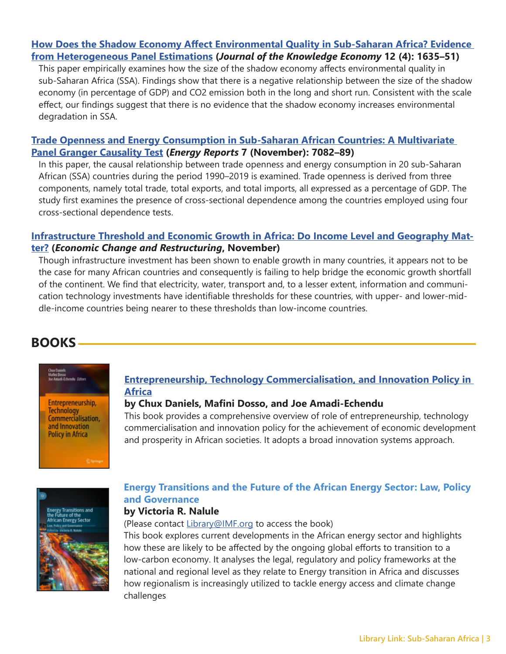#### <span id="page-2-0"></span>**[How Does the Shadow Economy Affect Environmental Quality in Sub-Saharan Africa? Evidence](http://t.imfconnect.imf.org/r/?id=h6280f9,2fda963,303c508)  [from Heterogeneous Panel Estimations](http://t.imfconnect.imf.org/r/?id=h6280f9,2fda963,303c508) (***Journal of the Knowledge Economy* **12 (4): 1635–51)**

This paper empirically examines how the size of the shadow economy affects environmental quality in sub-Saharan Africa (SSA). Findings show that there is a negative relationship between the size of the shadow economy (in percentage of GDP) and CO2 emission both in the long and short run. Consistent with the scale effect, our findings suggest that there is no evidence that the shadow economy increases environmental degradation in SSA.

#### **[Trade Openness and Energy Consumption in Sub-Saharan African Countries: A Multivariate](http://t.imfconnect.imf.org/r/?id=h6280f9,2fda963,303c509)  [Panel Granger Causality Test](http://t.imfconnect.imf.org/r/?id=h6280f9,2fda963,303c509) (***Energy Reports* **7 (November): 7082–89)**

In this paper, the causal relationship between trade openness and energy consumption in 20 sub-Saharan African (SSA) countries during the period 1990–2019 is examined. Trade openness is derived from three components, namely total trade, total exports, and total imports, all expressed as a percentage of GDP. The study first examines the presence of cross-sectional dependence among the countries employed using four cross-sectional dependence tests.

#### **[Infrastructure Threshold and Economic Growth in Africa: Do Income Level and Geography Mat](http://t.imfconnect.imf.org/r/?id=h6280f9,2fda963,303c50a)[ter?](http://t.imfconnect.imf.org/r/?id=h6280f9,2fda963,303c50a) (***Economic Change and Restructuring***, November)**

Though infrastructure investment has been shown to enable growth in many countries, it appears not to be the case for many African countries and consequently is failing to help bridge the economic growth shortfall of the continent. We find that electricity, water, transport and, to a lesser extent, information and communication technology investments have identifiable thresholds for these countries, with upper- and lower-middle-income countries being nearer to these thresholds than low-income countries.

## **BOOKS**

Entrepreneurship, **Technology** Commercialisation, and Innovation **Policy in Africa** 

#### **[Entrepreneurship, Technology Commercialisation, and Innovation Policy in](http://t.imfconnect.imf.org/r/?id=h6280f9,2fda963,303c50b)  [Africa](http://t.imfconnect.imf.org/r/?id=h6280f9,2fda963,303c50b)**

#### **by Chux Daniels, Mafini Dosso, and Joe Amadi-Echendu**

This book provides a comprehensive overview of role of entrepreneurship, technology commercialisation and innovation policy for the achievement of economic development and prosperity in African societies. It adopts a broad innovation systems approach.



## **Energy Transitions and the Future of the African Energy Sector: Law, Policy and Governance**

## **by Victoria R. Nalule**

(Please contact [Library@IMF.org](mailto:Library%40IMF.org?subject=) to access the book)

This book explores current developments in the African energy sector and highlights how these are likely to be affected by the ongoing global efforts to transition to a low-carbon economy. It analyses the legal, regulatory and policy frameworks at the national and regional level as they relate to Energy transition in Africa and discusses how regionalism is increasingly utilized to tackle energy access and climate change challenges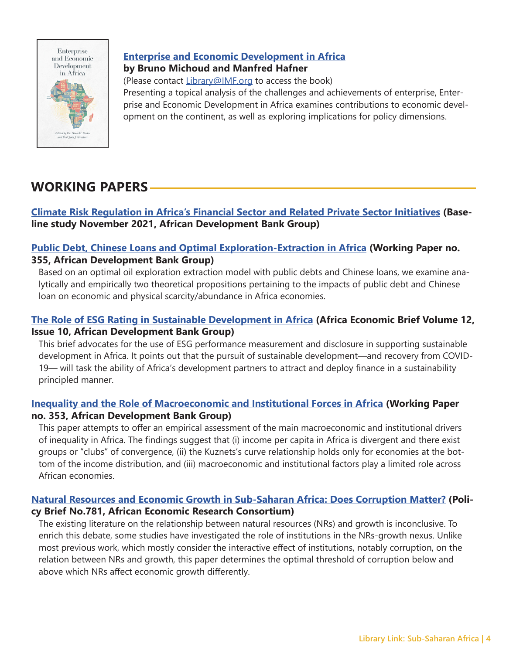<span id="page-3-0"></span>

### **[Enterprise and Economic Development in Africa](http://t.imfconnect.imf.org/r/?id=h6280f9,2fda963,303c50c) by Bruno Michoud and Manfred Hafner**

(Please contact [Library@IMF.org](mailto:Library%40IMF.org?subject=) to access the book) Presenting a topical analysis of the challenges and achievements of enterprise, Enterprise and Economic Development in Africa examines contributions to economic development on the continent, as well as exploring implications for policy dimensions.

## **WORKING PAPERS**

#### **[Climate Risk Regulation in Africa's Financial Sector and Related Private Sector Initiatives](http://t.imfconnect.imf.org/r/?id=h6280f9,2fda963,303c50d) (Baseline study November 2021, African Development Bank Group)**

#### **[Public Debt, Chinese Loans and Optimal Exploration-Extraction in Africa](http://t.imfconnect.imf.org/r/?id=h6280f9,2fda963,303c50e) (Working Paper no. 355, African Development Bank Group)**

Based on an optimal oil exploration extraction model with public debts and Chinese loans, we examine analytically and empirically two theoretical propositions pertaining to the impacts of public debt and Chinese loan on economic and physical scarcity/abundance in Africa economies.

### **[The Role of ESG Rating in Sustainable Development in Africa](http://t.imfconnect.imf.org/r/?id=h6280f9,2fda963,303c50f) (Africa Economic Brief Volume 12, Issue 10, African Development Bank Group)**

This brief advocates for the use of ESG performance measurement and disclosure in supporting sustainable development in Africa. It points out that the pursuit of sustainable development—and recovery from COVID-19— will task the ability of Africa's development partners to attract and deploy finance in a sustainability principled manner.

### **[Inequality and the Role of Macroeconomic and Institutional Forces in Africa](http://t.imfconnect.imf.org/r/?id=h6280f9,2fda963,303c510) (Working Paper no. 353, African Development Bank Group)**

This paper attempts to offer an empirical assessment of the main macroeconomic and institutional drivers of inequality in Africa. The findings suggest that (i) income per capita in Africa is divergent and there exist groups or "clubs" of convergence, (ii) the Kuznets's curve relationship holds only for economies at the bottom of the income distribution, and (iii) macroeconomic and institutional factors play a limited role across African economies.

#### **[Natural Resources and Economic Growth in Sub-Saharan Africa: Does Corruption Matter?](http://t.imfconnect.imf.org/r/?id=h6280f9,2fda963,303c511) (Policy Brief No.781, African Economic Research Consortium)**

The existing literature on the relationship between natural resources (NRs) and growth is inconclusive. To enrich this debate, some studies have investigated the role of institutions in the NRs-growth nexus. Unlike most previous work, which mostly consider the interactive effect of institutions, notably corruption, on the relation between NRs and growth, this paper determines the optimal threshold of corruption below and above which NRs affect economic growth differently.